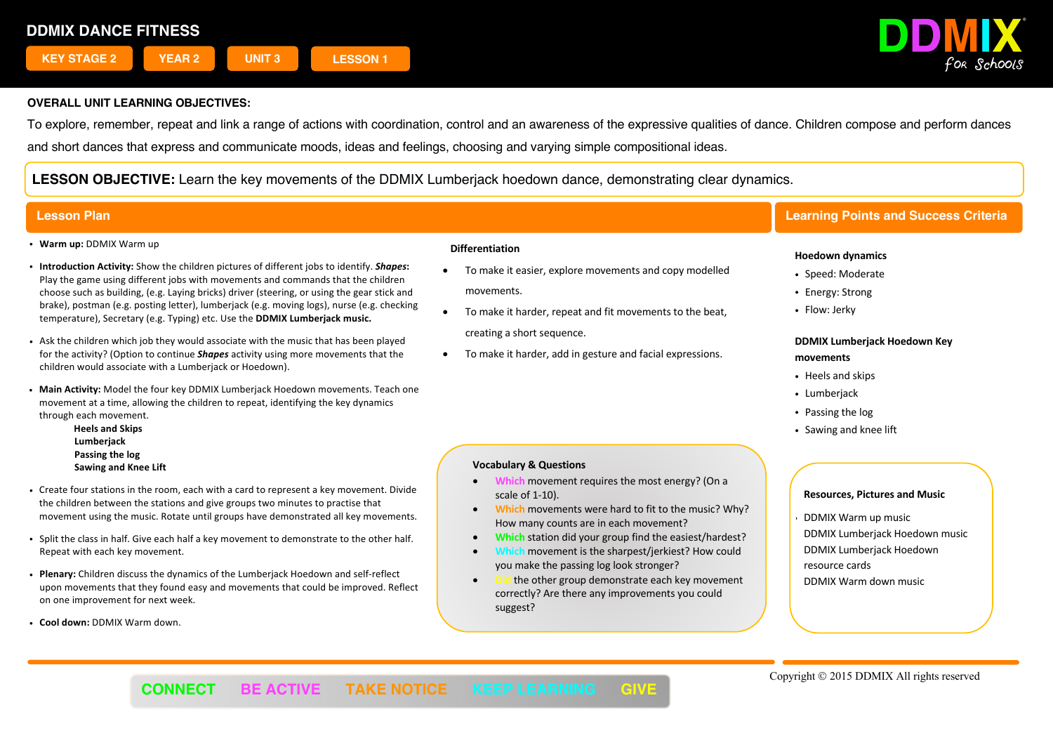

To explore, remember, repeat and link a range of actions with coordination, control and an awareness of the expressive qualities of dance. Children compose and perform dances and short dances that express and communicate moods, ideas and feelings, choosing and varying simple compositional ideas.

**LESSON OBJECTIVE:** Learn the key movements of the DDMIX Lumberjack hoedown dance, demonstrating clear dynamics.

- ! **Warm up:** DDMIX Warm up
- ! **Introduction Activity:** Show the children pictures of different jobs to identify. *Shapes***:** Play the game using different jobs with movements and commands that the children choose such as building, (e.g. Laying bricks) driver (steering, or using the gear stick and brake), postman (e.g. posting letter), lumberjack (e.g. moving logs), nurse (e.g. checking temperature), Secretary (e.g. Typing) etc. Use the **DDMIX Lumberjack music.**
- ! Ask the children which job they would associate with the music that has been played for the activity? (Option to continue *Shapes* activity using more movements that the children would associate with a Lumberjack or Hoedown).
- ! **Main Activity:** Model the four key DDMIX Lumberjack Hoedown movements. Teach one movement at a time, allowing the children to repeat, identifying the key dynamics through each movement.
	- **Heels and Skips Lumberjack**
	- **Passing the log Sawing and Knee Lift**
- ! Create four stations in the room, each with a card to represent a key movement. Divide the children between the stations and give groups two minutes to practise that movement using the music. Rotate until groups have demonstrated all key movements.
- ! Split the class in half. Give each half a key movement to demonstrate to the other half. Repeat with each key movement.
- ! **Plenary:** Children discuss the dynamics of the Lumberjack Hoedown and self-reflect upon movements that they found easy and movements that could be improved. Reflect on one improvement for next week.
- ! **Cool down:** DDMIX Warm down.

#### **Differentiation**

- To make it easier, explore movements and copy modelled movements.
- To make it harder, repeat and fit movements to the beat, creating a short sequence.
- To make it harder, add in gesture and facial expressions.

# **Lesson Plan Learning Points and Success Criteria**

### **Hoedown dynamics**

- Speed: Moderate
- Energy: Strong
- Flow: Jerky

## **DDMIX Lumberjack Hoedown Key movements**

- . Heels and skips
- Lumberjack
- Passing the log
- ! Sawing and knee lift

## **Vocabulary & Questions**

- **Which** movement requires the most energy? (On a scale of 1-10).
- **Which** movements were hard to fit to the music? Why? How many counts are in each movement?
- **Which** station did your group find the easiest/hardest?
- **Which** movement is the sharpest/jerkiest? How could you make the passing log look stronger?
- the other group demonstrate each key movement correctly? Are there any improvements you could suggest?

## **Resources, Pictures and Music**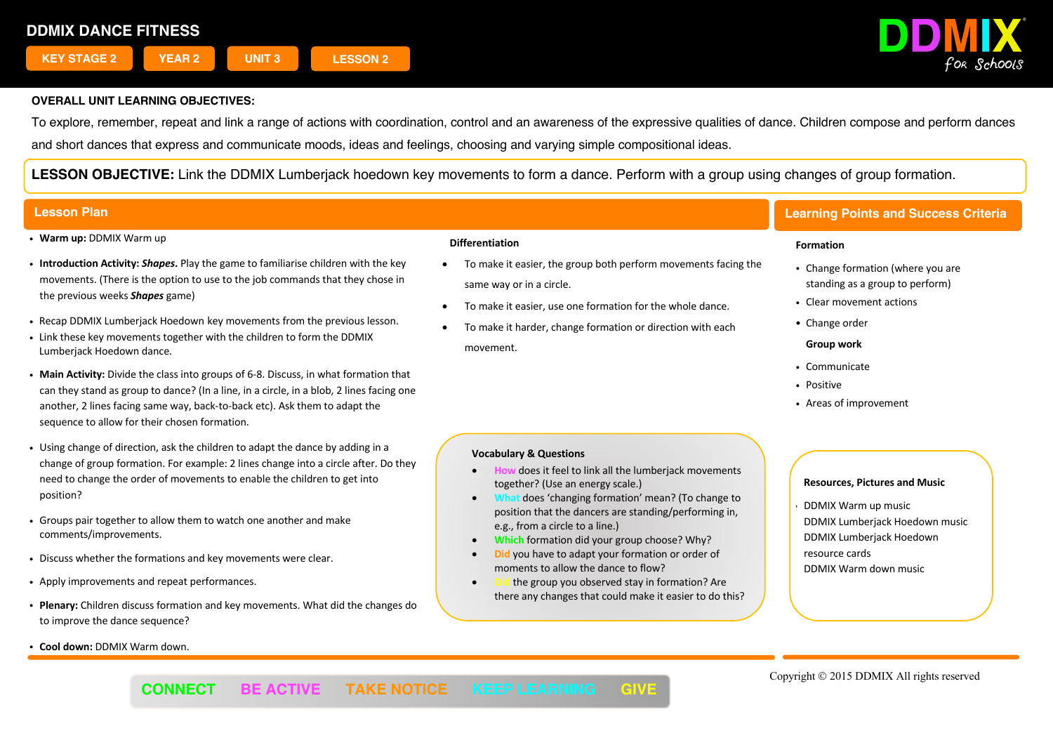

To explore, remember, repeat and link a range of actions with coordination, control and an awareness of the expressive qualities of dance. Children compose and perform dances and short dances that express and communicate moods, ideas and feelings, choosing and varying simple compositional ideas.

**LESSON OBJECTIVE:** Link the DDMIX Lumberjack hoedown key movements to form a dance. Perform with a group using changes of group formation.

- ! **Warm up:** DDMIX Warm up
- ! **Introduction Activity:** *Shapes***.** Play the game to familiarise children with the key movements. (There is the option to use to the job commands that they chose in the previous weeks *Shapes* game)
- ! Recap DDMIX Lumberjack Hoedown key movements from the previous lesson.
- . Link these key movements together with the children to form the DDMIX Lumberjack Hoedown dance.
- ! **Main Activity:** Divide the class into groups of 6-8. Discuss, in what formation that can they stand as group to dance? (In a line, in a circle, in a blob, 2 lines facing one another, 2 lines facing same way, back-to-back etc). Ask them to adapt the sequence to allow for their chosen formation.
- . Using change of direction, ask the children to adapt the dance by adding in a change of group formation. For example: 2 lines change into a circle after. Do they need to change the order of movements to enable the children to get into position?
- ! Groups pair together to allow them to watch one another and make comments/improvements.
- . Discuss whether the formations and key movements were clear.
- ! Apply improvements and repeat performances.
- ! **Plenary:** Children discuss formation and key movements. What did the changes do to improve the dance sequence?
- ! **Cool down:** DDMIX Warm down.

### **Differentiation**

- To make it easier, the group both perform movements facing the same way or in a circle.
- To make it easier, use one formation for the whole dance.
- To make it harder, change formation or direction with each movement.

# **Lesson Plan Learning Points and Success Criteria**

#### **Formation**

- Change formation (where you are standing as a group to perform)
- Clear movement actions
- Change order
- **Group work**
- Communicate
- · Positive
- ! Areas of improvement

### **Vocabulary & Questions**

- **How** does it feel to link all the lumberjack movements together? (Use an energy scale.)
- does 'changing formation' mean? (To change to position that the dancers are standing/performing in, e.g., from a circle to a line.)
- **Which** formation did your group choose? Why?
- **Did** you have to adapt your formation or order of moments to allow the dance to flow?
- **Did** the group you observed stay in formation? Are there any changes that could make it easier to do this?

## **Resources, Pictures and Music**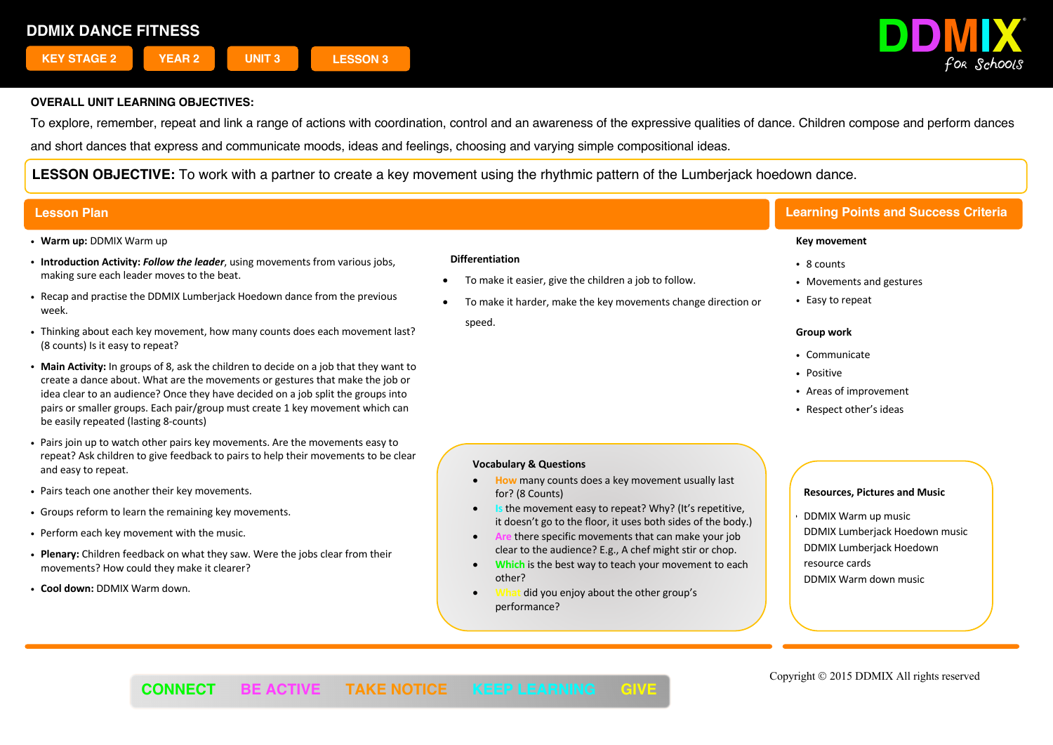

To explore, remember, repeat and link a range of actions with coordination, control and an awareness of the expressive qualities of dance. Children compose and perform dances and short dances that express and communicate moods, ideas and feelings, choosing and varying simple compositional ideas.

**LESSON OBJECTIVE:** To work with a partner to create a key movement using the rhythmic pattern of the Lumberjack hoedown dance.

- ! **Warm up:** DDMIX Warm up
- ! **Introduction Activity:** *Follow the leader*, using movements from various jobs, making sure each leader moves to the beat.
- ! Recap and practise the DDMIX Lumberjack Hoedown dance from the previous week.
- ! Thinking about each key movement, how many counts does each movement last? (8 counts) Is it easy to repeat?
- ! **Main Activity:** In groups of 8, ask the children to decide on a job that they want to create a dance about. What are the movements or gestures that make the job or idea clear to an audience? Once they have decided on a job split the groups into pairs or smaller groups. Each pair/group must create 1 key movement which can be easily repeated (lasting 8-counts)
- ! Pairs join up to watch other pairs key movements. Are the movements easy to repeat? Ask children to give feedback to pairs to help their movements to be clear and easy to repeat.
- . Pairs teach one another their key movements.
- ! Groups reform to learn the remaining key movements.
- . Perform each key movement with the music.
- ! **Plenary:** Children feedback on what they saw. Were the jobs clear from their movements? How could they make it clearer?
- ! **Cool down:** DDMIX Warm down.

#### **Differentiation**

- To make it easier, give the children a job to follow.
- To make it harder, make the key movements change direction or

speed.

# **Lesson Plan Learning Points and Success Criteria**

#### **Key movement**

- 8 counts
- Movements and gestures
- Easy to repeat

#### **Group work**

- Communicate
- Positive
- ! Areas of improvement
- Respect other's ideas

### **Vocabulary & Questions**

- **How** many counts does a key movement usually last for? (8 Counts)
- **Is the movement easy to repeat? Why? (It's repetitive,** it doesn't go to the floor, it uses both sides of the body.)
- **Are** there specific movements that can make your job clear to the audience? E.g., A chef might stir or chop.
- **Which** is the best way to teach your movement to each other?

j

did you enjoy about the other group's performance?

## **Resources, Pictures and Music**

! DDMIX Warm up music DDMIX Lumberjack Hoedown music DDMIX Lumberjack Hoedown resource cards DDMIX Warm down music

Copyright © 2015 DDMIX All rights reserved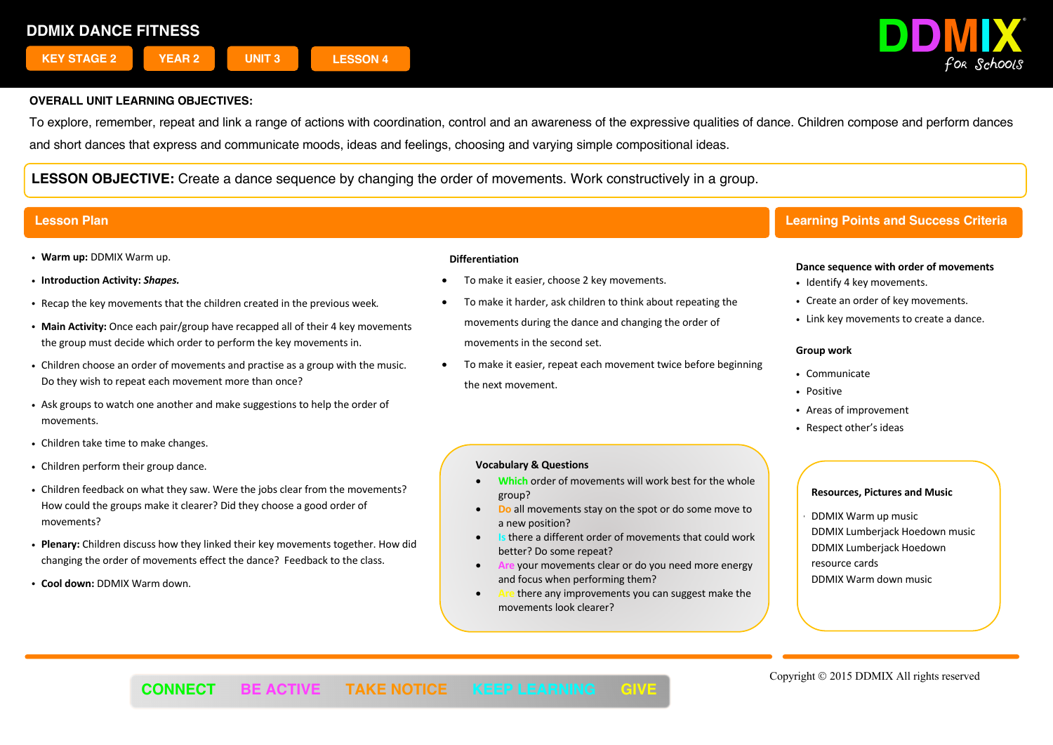

To explore, remember, repeat and link a range of actions with coordination, control and an awareness of the expressive qualities of dance. Children compose and perform dances and short dances that express and communicate moods, ideas and feelings, choosing and varying simple compositional ideas.

**LESSON OBJECTIVE:** Create a dance sequence by changing the order of movements. Work constructively in a group.

- ! **Warm up:** DDMIX Warm up.
- ! **Introduction Activity:** *Shapes.*
- ! Recap the key movements that the children created in the previous week*.*
- ! **Main Activity:** Once each pair/group have recapped all of their 4 key movements the group must decide which order to perform the key movements in.
- ! Children choose an order of movements and practise as a group with the music. Do they wish to repeat each movement more than once?
- ! Ask groups to watch one another and make suggestions to help the order of movements.
- Children take time to make changes.
- . Children perform their group dance.
- ! Children feedback on what they saw. Were the jobs clear from the movements? How could the groups make it clearer? Did they choose a good order of movements?
- ! **Plenary:** Children discuss how they linked their key movements together. How did changing the order of movements effect the dance? Feedback to the class.
- ! **Cool down:** DDMIX Warm down.

#### **Differentiation**

- To make it easier, choose 2 key movements.
- To make it harder, ask children to think about repeating the movements during the dance and changing the order of movements in the second set.
- To make it easier, repeat each movement twice before beginning the next movement.

## **Vocabulary & Questions**

- **Which** order of movements will work best for the whole group?
- **Do** all movements stay on the spot or do some move to a new position?
- **Is** there a different order of movements that could work better? Do some repeat?
- **Are** your movements clear or do you need more energy and focus when performing them?
- there any improvements you can suggest make the movements look clearer?

# **Lesson Plan Learning Points and Success Criteria**

#### **Dance sequence with order of movements**

- Identify 4 key movements.
- Create an order of key movements.
- . Link key movements to create a dance.

#### **Group work**

- Communicate
- · Positive
- ! Areas of improvement
- Respect other's ideas

### **Resources, Pictures and Music**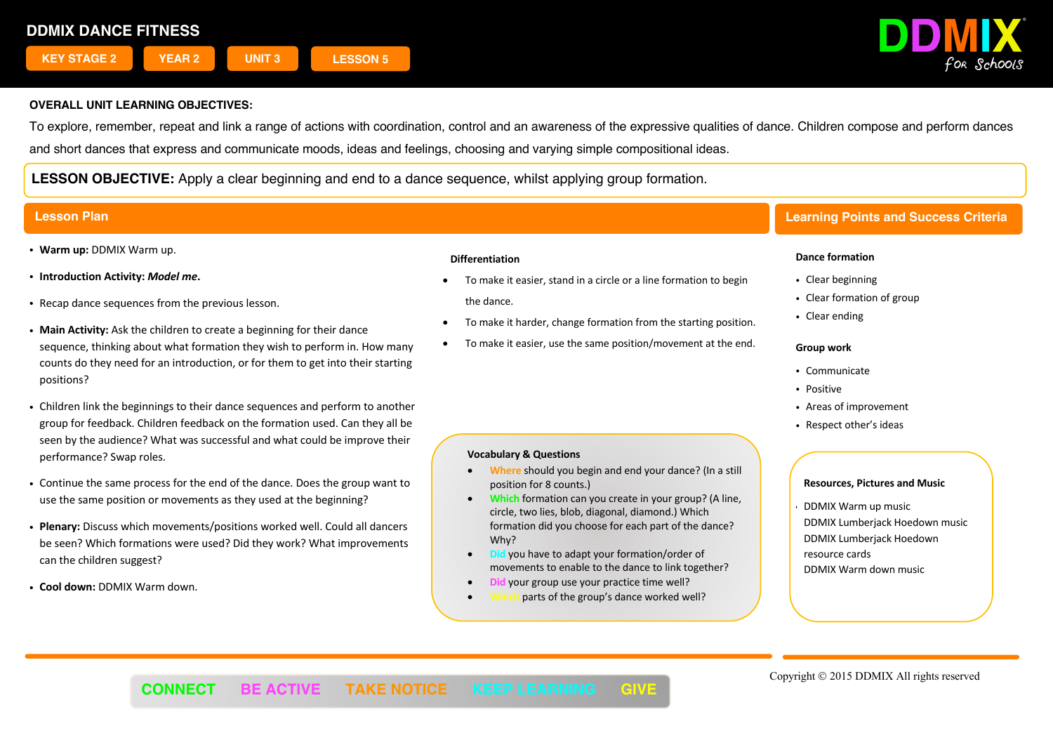

To explore, remember, repeat and link a range of actions with coordination, control and an awareness of the expressive qualities of dance. Children compose and perform dances and short dances that express and communicate moods, ideas and feelings, choosing and varying simple compositional ideas.

**LESSON OBJECTIVE:** Apply a clear beginning and end to a dance sequence, whilst applying group formation.

- ! **Warm up:** DDMIX Warm up.
- ! **Introduction Activity:** *Model me***.**
- . Recap dance sequences from the previous lesson.
- ! **Main Activity:** Ask the children to create a beginning for their dance sequence, thinking about what formation they wish to perform in. How many counts do they need for an introduction, or for them to get into their starting positions?
- ! Children link the beginnings to their dance sequences and perform to another group for feedback. Children feedback on the formation used. Can they all be seen by the audience? What was successful and what could be improve their performance? Swap roles.
- ! Continue the same process for the end of the dance. Does the group want to use the same position or movements as they used at the beginning?
- ! **Plenary:** Discuss which movements/positions worked well. Could all dancers be seen? Which formations were used? Did they work? What improvements can the children suggest?
- ! **Cool down:** DDMIX Warm down.

### **Differentiation**

- To make it easier, stand in a circle or a line formation to begin the dance.
- To make it harder, change formation from the starting position.
- To make it easier, use the same position/movement at the end.

### **Vocabulary & Questions**

- **Where** should you begin and end your dance? (In a still position for 8 counts.)
- **Which** formation can you create in your group? (A line, circle, two lies, blob, diagonal, diamond.) Which formation did you choose for each part of the dance? Why?
- **Did** you have to adapt your formation/order of movements to enable to the dance to link together?
- **Did** your group use your practice time well?
- parts of the group's dance worked well?

# **Lesson Plan Learning Points and Success Criteria**

### **Dance formation**

- Clear beginning
- Clear formation of group
- Clear ending

### **Group work**

- ! Communicate
- Positive
- ! Areas of improvement
- Respect other's ideas

#### **Resources, Pictures and Music**